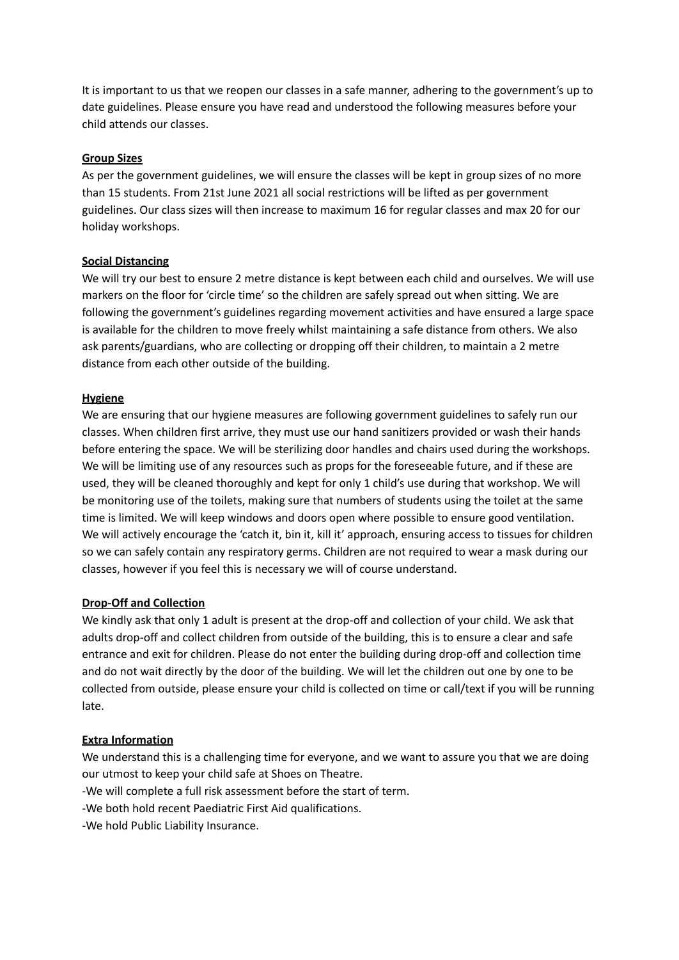It is important to us that we reopen our classes in a safe manner, adhering to the government's up to date guidelines. Please ensure you have read and understood the following measures before your child attends our classes.

### **Group Sizes**

As per the government guidelines, we will ensure the classes will be kept in group sizes of no more than 15 students. From 21st June 2021 all social restrictions will be lifted as per government guidelines. Our class sizes will then increase to maximum 16 for regular classes and max 20 for our holiday workshops.

# **Social Distancing**

We will try our best to ensure 2 metre distance is kept between each child and ourselves. We will use markers on the floor for 'circle time' so the children are safely spread out when sitting. We are following the government's guidelines regarding movement activities and have ensured a large space is available for the children to move freely whilst maintaining a safe distance from others. We also ask parents/guardians, who are collecting or dropping off their children, to maintain a 2 metre distance from each other outside of the building.

# **Hygiene**

We are ensuring that our hygiene measures are following government guidelines to safely run our classes. When children first arrive, they must use our hand sanitizers provided or wash their hands before entering the space. We will be sterilizing door handles and chairs used during the workshops. We will be limiting use of any resources such as props for the foreseeable future, and if these are used, they will be cleaned thoroughly and kept for only 1 child's use during that workshop. We will be monitoring use of the toilets, making sure that numbers of students using the toilet at the same time is limited. We will keep windows and doors open where possible to ensure good ventilation. We will actively encourage the 'catch it, bin it, kill it' approach, ensuring access to tissues for children so we can safely contain any respiratory germs. Children are not required to wear a mask during our classes, however if you feel this is necessary we will of course understand.

#### **Drop-Off and Collection**

We kindly ask that only 1 adult is present at the drop-off and collection of your child. We ask that adults drop-off and collect children from outside of the building, this is to ensure a clear and safe entrance and exit for children. Please do not enter the building during drop-off and collection time and do not wait directly by the door of the building. We will let the children out one by one to be collected from outside, please ensure your child is collected on time or call/text if you will be running late.

#### **Extra Information**

We understand this is a challenging time for everyone, and we want to assure you that we are doing our utmost to keep your child safe at Shoes on Theatre.

-We will complete a full risk assessment before the start of term.

-We both hold recent Paediatric First Aid qualifications.

-We hold Public Liability Insurance.